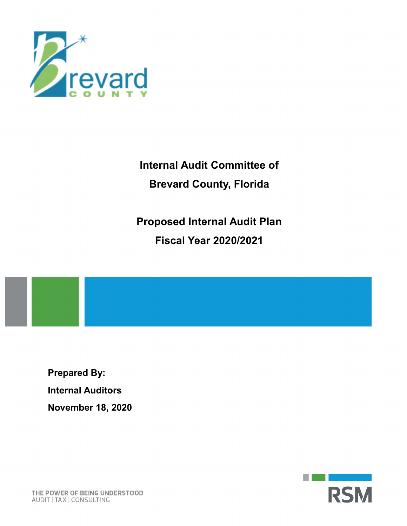

Internal Audit Committee of Brevard County, Florida

Proposed Internal Audit Plan Fiscal Year 2020/2021

Prepared By: Internal Auditors November 18, 2020



THE POWER OF BEING UNDERSTOOD AUDIT | TAX | CONSULTING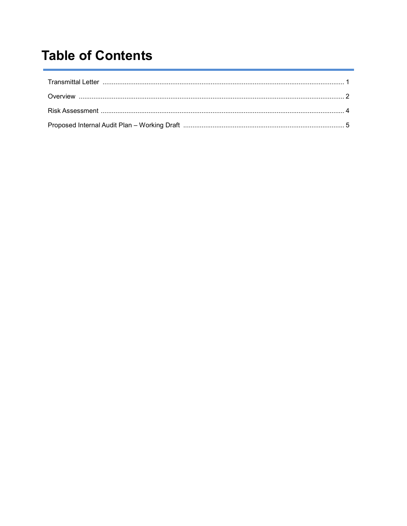# **Table of Contents**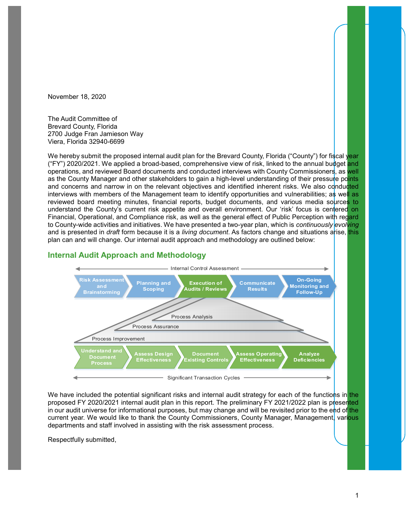November 18, 2020

The Audit Committee of Brevard County, Florida 2700 Judge Fran Jamieson Way Viera, Florida 32940-6699

We hereby submit the proposed internal audit plan for the Brevard County, Florida ("County") for fiscal year ("FY") 2020/2021. We applied a broad-based, comprehensive view of risk, linked to the annual budget and operations, and reviewed Board documents and conducted interviews with County Commissioners, as well as the County Manager and other stakeholders to gain a high-level understanding of their pressure points and concerns and narrow in on the relevant objectives and identified inherent risks. We also conducted interviews with members of the Management team to identify opportunities and vulnerabilities; as well as reviewed board meeting minutes, financial reports, budget documents, and various media sources to understand the County's current risk appetite and overall environment. Our 'risk' focus is centered on Financial, Operational, and Compliance risk, as well as the general effect of Public Perception with regard to County-wide activities and initiatives. We have presented a two-year plan, which is continuously evolving and is presented in *draft* form because it is a *living document*. As factors change and situations arise, this plan can and will change. Our internal audit approach and methodology are outlined below:





We have included the potential significant risks and internal audit strategy for each of the functions in the proposed FY 2020/2021 internal audit plan in this report. The preliminary FY 2021/2022 plan is presented in our audit universe for informational purposes, but may change and will be revisited prior to the end of the current year. We would like to thank the County Commissioners, County Manager, Management, various departments and staff involved in assisting with the risk assessment process.

Respectfully submitted,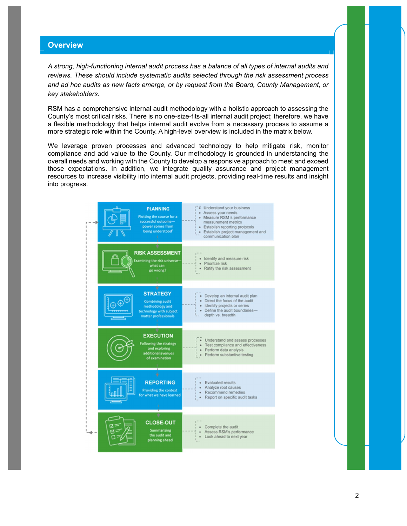## **Overview**

A strong, high-functioning internal audit process has a balance of all types of internal audits and reviews. These should include systematic audits selected through the risk assessment process and ad hoc audits as new facts emerge, or by request from the Board, County Management, or key stakeholders.

RSM has a comprehensive internal audit methodology with a holistic approach to assessing the County's most critical risks. There is no one-size-fits-all internal audit project; therefore, we have a flexible methodology that helps internal audit evolve from a necessary process to assume a more strategic role within the County. A high-level overview is included in the matrix below.

We leverage proven processes and advanced technology to help mitigate risk, monitor compliance and add value to the County. Our methodology is grounded in understanding the overall needs and working with the County to develop a responsive approach to meet and exceed those expectations. In addition, we integrate quality assurance and project management resources to increase visibility into internal audit projects, providing real-time results and insight into progress.

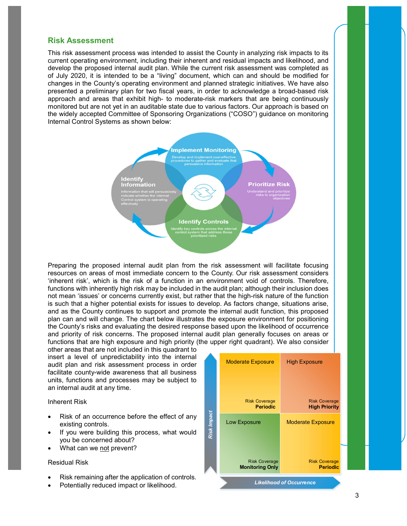## Risk Assessment

This risk assessment process was intended to assist the County in analyzing risk impacts to its current operating environment, including their inherent and residual impacts and likelihood, and develop the proposed internal audit plan. While the current risk assessment was completed as of July 2020, it is intended to be a "living" document, which can and should be modified for changes in the County's operating environment and planned strategic initiatives. We have also presented a preliminary plan for two fiscal years, in order to acknowledge a broad-based risk approach and areas that exhibit high- to moderate-risk markers that are being continuously monitored but are not yet in an auditable state due to various factors. Our approach is based on the widely accepted Committee of Sponsoring Organizations ("COSO") guidance on monitoring Internal Control Systems as shown below:



Preparing the proposed internal audit plan from the risk assessment will facilitate focusing resources on areas of most immediate concern to the County. Our risk assessment considers 'inherent risk', which is the risk of a function in an environment void of controls. Therefore, functions with inherently high risk may be included in the audit plan; although their inclusion does not mean 'issues' or concerns currently exist, but rather that the high-risk nature of the function is such that a higher potential exists for issues to develop. As factors change, situations arise, and as the County continues to support and promote the internal audit function, this proposed plan can and will change. The chart below illustrates the exposure environment for positioning the County's risks and evaluating the desired response based upon the likelihood of occurrence and priority of risk concerns. The proposed internal audit plan generally focuses on areas or functions that are high exposure and high priority (the upper right quadrant). We also consider

other areas that are not included in this quadrant to insert a level of unpredictability into the internal audit plan and risk assessment process in order facilitate county-wide awareness that all business units, functions and processes may be subject to an internal audit at any time.

Inherent Risk

- Risk of an occurrence before the effect of any existing controls.
- If you were building this process, what would you be concerned about?
- What can we not prevent?

#### Residual Risk

- Risk remaining after the application of controls.
- 

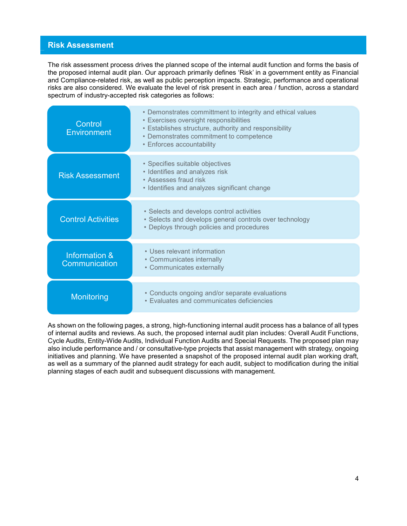## Risk Assessment

| <b>Risk Assessment</b>         |                                                                                                                                                                                                                                                                                                                                                                                                                                                                                                                    |
|--------------------------------|--------------------------------------------------------------------------------------------------------------------------------------------------------------------------------------------------------------------------------------------------------------------------------------------------------------------------------------------------------------------------------------------------------------------------------------------------------------------------------------------------------------------|
|                                |                                                                                                                                                                                                                                                                                                                                                                                                                                                                                                                    |
|                                |                                                                                                                                                                                                                                                                                                                                                                                                                                                                                                                    |
|                                | The risk assessment process drives the planned scope of the internal audit function and forms the basis of<br>the proposed internal audit plan. Our approach primarily defines 'Risk' in a government entity as Financial<br>and Compliance-related risk, as well as public perception impacts. Strategic, performance and operational<br>risks are also considered. We evaluate the level of risk present in each area / function, across a standard<br>spectrum of industry-accepted risk categories as follows: |
| Control<br><b>Environment</b>  | • Demonstrates committment to integrity and ethical values<br>• Exercises oversight responsibilities<br>• Establishes structure, authority and responsibility<br>• Demonstrates commitment to competence<br>• Enforces accountability                                                                                                                                                                                                                                                                              |
| <b>Risk Assessment</b>         | • Specifies suitable objectives<br>• Identifies and analyzes risk<br>• Assesses fraud risk<br>• Identifies and analyzes significant change                                                                                                                                                                                                                                                                                                                                                                         |
| <b>Control Activities</b>      | • Selects and develops control activities<br>• Selects and develops general controls over technology<br>• Deploys through policies and procedures                                                                                                                                                                                                                                                                                                                                                                  |
| Information &<br>Communication | • Uses relevant information<br>• Communicates internally<br>• Communicates externally                                                                                                                                                                                                                                                                                                                                                                                                                              |
|                                | • Conducts ongoing and/or separate evaluations                                                                                                                                                                                                                                                                                                                                                                                                                                                                     |

As shown on the following pages, a strong, high-functioning internal audit process has a balance of all types of internal audits and reviews. As such, the proposed internal audit plan includes: Overall Audit Functions, Cycle Audits, Entity-Wide Audits, Individual Function Audits and Special Requests. The proposed plan may also include performance and / or consultative-type projects that assist management with strategy, ongoing initiatives and planning. We have presented a snapshot of the proposed internal audit plan working draft, as well as a summary of the planned audit strategy for each audit, subject to modification during the initial planning stages of each audit and subsequent discussions with management.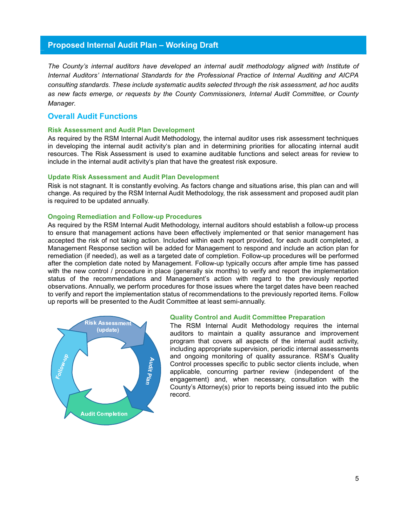## Proposed Internal Audit Plan – Working Draft

The County's internal auditors have developed an internal audit methodology aligned with Institute of Internal Auditors' International Standards for the Professional Practice of Internal Auditing and AICPA consulting standards. These include systematic audits selected through the risk assessment, ad hoc audits as new facts emerge, or requests by the County Commissioners, Internal Audit Committee, or County Manager.

## Overall Audit Functions

#### Risk Assessment and Audit Plan Development

As required by the RSM Internal Audit Methodology, the internal auditor uses risk assessment techniques in developing the internal audit activity's plan and in determining priorities for allocating internal audit resources. The Risk Assessment is used to examine auditable functions and select areas for review to include in the internal audit activity's plan that have the greatest risk exposure.

#### Update Risk Assessment and Audit Plan Development

Risk is not stagnant. It is constantly evolving. As factors change and situations arise, this plan can and will change. As required by the RSM Internal Audit Methodology, the risk assessment and proposed audit plan is required to be updated annually.

#### Ongoing Remediation and Follow-up Procedures

As required by the RSM Internal Audit Methodology, internal auditors should establish a follow-up process to ensure that management actions have been effectively implemented or that senior management has accepted the risk of not taking action. Included within each report provided, for each audit completed, a Management Response section will be added for Management to respond and include an action plan for remediation (if needed), as well as a targeted date of completion. Follow-up procedures will be performed after the completion date noted by Management. Follow-up typically occurs after ample time has passed with the new control / procedure in place (generally six months) to verify and report the implementation status of the recommendations and Management's action with regard to the previously reported observations. Annually, we perform procedures for those issues where the target dates have been reached to verify and report the implementation status of recommendations to the previously reported items. Follow up reports will be presented to the Audit Committee at least semi-annually.



#### Quality Control and Audit Committee Preparation

The RSM Internal Audit Methodology requires the internal auditors to maintain a quality assurance and improvement program that covers all aspects of the internal audit activity, including appropriate supervision, periodic internal assessments and ongoing monitoring of quality assurance. RSM's Quality Control processes specific to public sector clients include, when applicable, concurring partner review (independent of the engagement) and, when necessary, consultation with the County's Attorney(s) prior to reports being issued into the public record.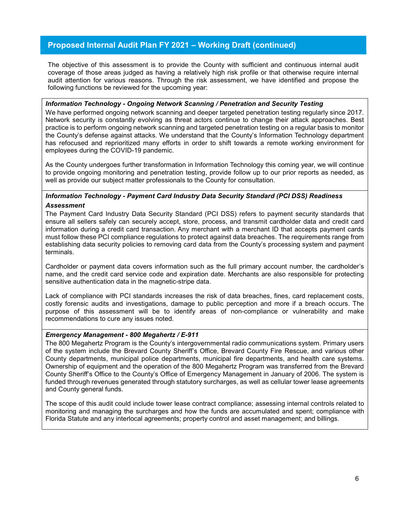# Proposed Internal Audit Plan FY 2021 – Working Draft (continued)

The objective of this assessment is to provide the County with sufficient and continuous internal audit coverage of those areas judged as having a relatively high risk profile or that otherwise require internal audit attention for various reasons. Through the risk assessment, we have identified and propose the following functions be reviewed for the upcoming year:

#### Information Technology - Ongoing Network Scanning / Penetration and Security Testing

We have performed ongoing network scanning and deeper targeted penetration testing regularly since 2017. Network security is constantly evolving as threat actors continue to change their attack approaches. Best practice is to perform ongoing network scanning and targeted penetration testing on a regular basis to monitor the County's defense against attacks. We understand that the County's Information Technology department has refocused and reprioritized many efforts in order to shift towards a remote working environment for employees during the COVID-19 pandemic.

As the County undergoes further transformation in Information Technology this coming year, we will continue to provide ongoing monitoring and penetration testing, provide follow up to our prior reports as needed, as well as provide our subject matter professionals to the County for consultation.

## Information Technology - Payment Card Industry Data Security Standard (PCI DSS) Readiness Assessment

The Payment Card Industry Data Security Standard (PCI DSS) refers to payment security standards that ensure all sellers safely can securely accept, store, process, and transmit cardholder data and credit card information during a credit card transaction. Any merchant with a merchant ID that accepts payment cards must follow these PCI compliance regulations to protect against data breaches. The requirements range from establishing data security policies to removing card data from the County's processing system and payment terminals.

Cardholder or payment data covers information such as the full primary account number, the cardholder's name, and the credit card service code and expiration date. Merchants are also responsible for protecting sensitive authentication data in the magnetic-stripe data.

Lack of compliance with PCI standards increases the risk of data breaches, fines, card replacement costs, costly forensic audits and investigations, damage to public perception and more if a breach occurs. The purpose of this assessment will be to identify areas of non-compliance or vulnerability and make recommendations to cure any issues noted.

#### Emergency Management - 800 Megahertz / E-911

The 800 Megahertz Program is the County's intergovernmental radio communications system. Primary users of the system include the Brevard County Sheriff's Office, Brevard County Fire Rescue, and various other County departments, municipal police departments, municipal fire departments, and health care systems. Ownership of equipment and the operation of the 800 Megahertz Program was transferred from the Brevard County Sheriff's Office to the County's Office of Emergency Management in January of 2006. The system is funded through revenues generated through statutory surcharges, as well as cellular tower lease agreements and County general funds.

The scope of this audit could include tower lease contract compliance; assessing internal controls related to monitoring and managing the surcharges and how the funds are accumulated and spent; compliance with Florida Statute and any interlocal agreements; property control and asset management; and billings.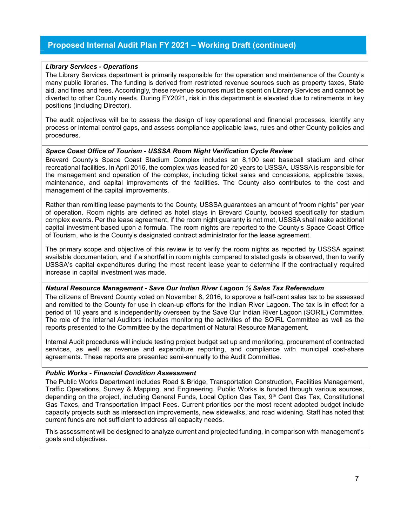# Proposed Internal Audit Plan FY 2021 – Working Draft (continued)

#### Library Services - Operations

The Library Services department is primarily responsible for the operation and maintenance of the County's many public libraries. The funding is derived from restricted revenue sources such as property taxes, State aid, and fines and fees. Accordingly, these revenue sources must be spent on Library Services and cannot be diverted to other County needs. During FY2021, risk in this department is elevated due to retirements in key positions (including Director).

The audit objectives will be to assess the design of key operational and financial processes, identify any process or internal control gaps, and assess compliance applicable laws, rules and other County policies and procedures.

## Space Coast Office of Tourism - USSSA Room Night Verification Cycle Review

Brevard County's Space Coast Stadium Complex includes an 8,100 seat baseball stadium and other recreational facilities. In April 2016, the complex was leased for 20 years to USSSA. USSSA is responsible for the management and operation of the complex, including ticket sales and concessions, applicable taxes, maintenance, and capital improvements of the facilities. The County also contributes to the cost and management of the capital improvements.

Rather than remitting lease payments to the County, USSSA guarantees an amount of "room nights" per year of operation. Room nights are defined as hotel stays in Brevard County, booked specifically for stadium complex events. Per the lease agreement, if the room night guaranty is not met, USSSA shall make additional capital investment based upon a formula. The room nights are reported to the County's Space Coast Office of Tourism, who is the County's designated contract administrator for the lease agreement.

The primary scope and objective of this review is to verify the room nights as reported by USSSA against available documentation, and if a shortfall in room nights compared to stated goals is observed, then to verify USSSA's capital expenditures during the most recent lease year to determine if the contractually required increase in capital investment was made.

#### Natural Resource Management - Save Our Indian River Lagoon ½ Sales Tax Referendum

The citizens of Brevard County voted on November 8, 2016, to approve a half-cent sales tax to be assessed and remitted to the County for use in clean-up efforts for the Indian River Lagoon. The tax is in effect for a period of 10 years and is independently overseen by the Save Our Indian River Lagoon (SORIL) Committee. The role of the Internal Auditors includes monitoring the activities of the SOIRL Committee as well as the reports presented to the Committee by the department of Natural Resource Management.

Internal Audit procedures will include testing project budget set up and monitoring, procurement of contracted services, as well as revenue and expenditure reporting, and compliance with municipal cost-share agreements. These reports are presented semi-annually to the Audit Committee.

## Public Works - Financial Condition Assessment

The Public Works Department includes Road & Bridge, Transportation Construction, Facilities Management, Traffic Operations, Survey & Mapping, and Engineering. Public Works is funded through various sources, depending on the project, including General Funds, Local Option Gas Tax, 9<sup>th</sup> Cent Gas Tax, Constitutional Gas Taxes, and Transportation Impact Fees. Current priorities per the most recent adopted budget include capacity projects such as intersection improvements, new sidewalks, and road widening. Staff has noted that current funds are not sufficient to address all capacity needs.

This assessment will be designed to analyze current and projected funding, in comparison with management's goals and objectives.